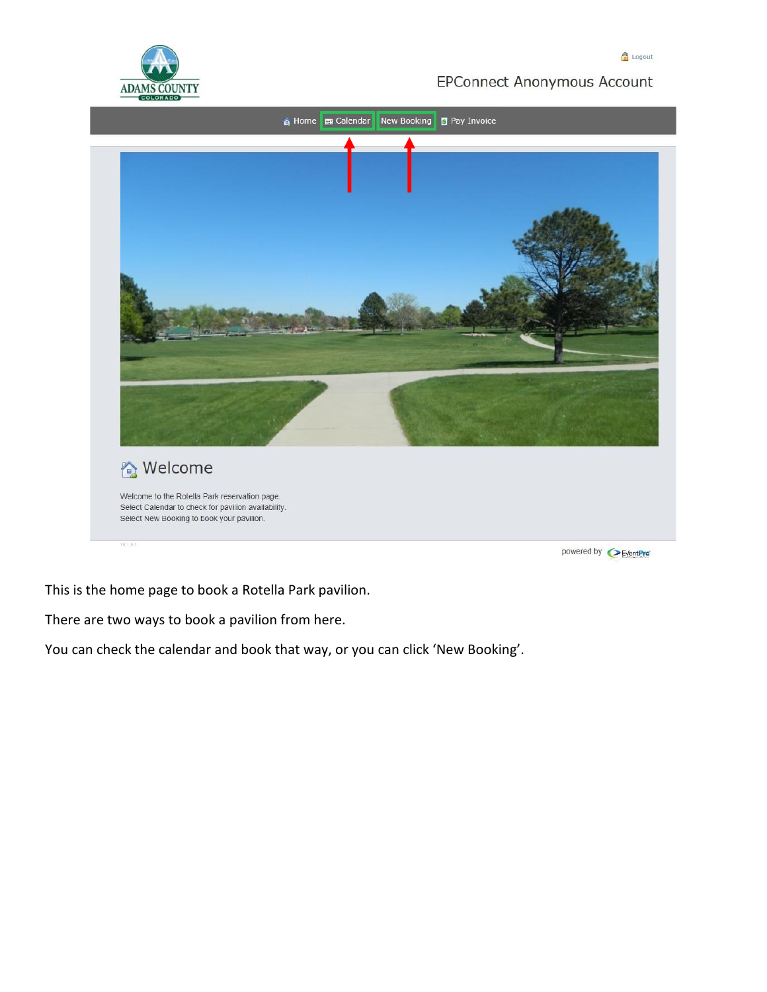

 $\bigcirc$  Logout



This is the home page to book a Rotella Park pavilion.

There are two ways to book a pavilion from here.

You can check the calendar and book that way, or you can click 'New Booking'.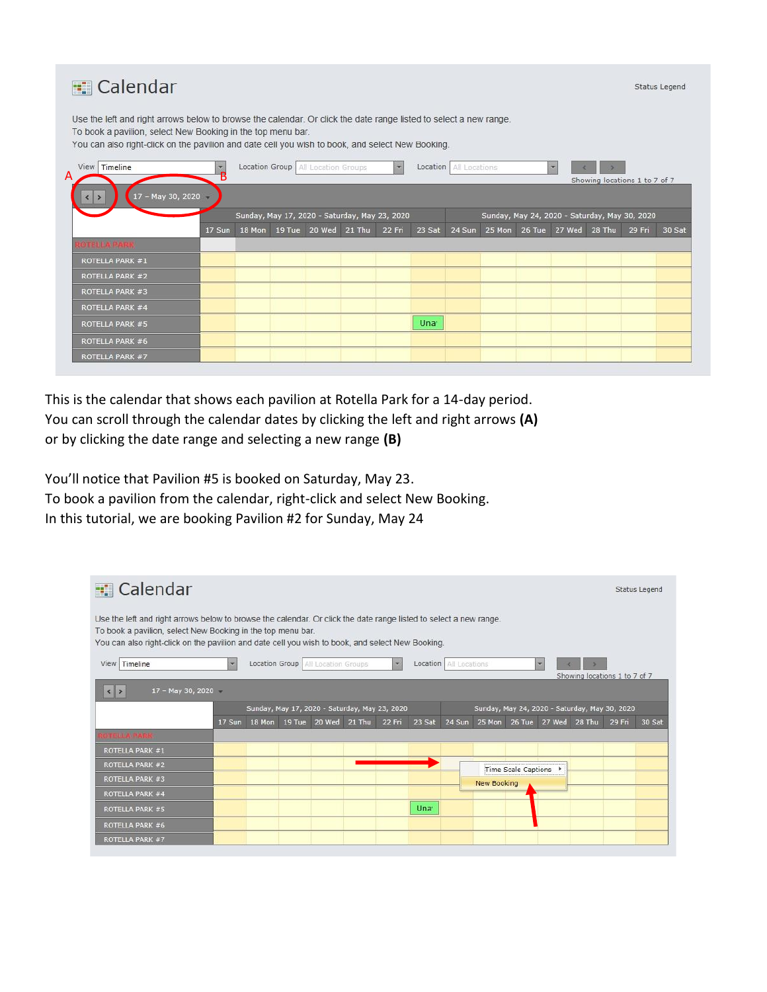| $\blacksquare$ Calendar                                                                                                                                                                                                                                                              |        |                                               |                                      |               |          |               |  |                                               |                               |        | Status Legend |
|--------------------------------------------------------------------------------------------------------------------------------------------------------------------------------------------------------------------------------------------------------------------------------------|--------|-----------------------------------------------|--------------------------------------|---------------|----------|---------------|--|-----------------------------------------------|-------------------------------|--------|---------------|
| Use the left and right arrows below to browse the calendar. Or click the date range listed to select a new range.<br>To book a pavilion, select New Booking in the top menu bar.<br>You can also right-click on the pavilion and date cell you wish to book, and select New Booking. |        |                                               |                                      |               |          |               |  |                                               |                               |        |               |
| View Timeline<br>17 - May 30, 2020<br>$\rightarrow$                                                                                                                                                                                                                                  | в      |                                               | Location Group   All Location Groups | $\mathcal{F}$ | Location | All Locations |  | $\overline{\mathbf{v}}$                       | Showing locations 1 to 7 of 7 |        |               |
|                                                                                                                                                                                                                                                                                      |        | Sunday, May 17, 2020 - Saturday, May 23, 2020 |                                      |               |          |               |  | Sunday, May 24, 2020 - Saturday, May 30, 2020 |                               |        |               |
|                                                                                                                                                                                                                                                                                      | 17 Sun |                                               | 18 Mon 19 Tue 20 Wed 21 Thu          | 22 Fri        | 23 Sat   | 24 Sun        |  | 25 Mon 26 Tue 27 Wed 28 Thu                   |                               | 29 Fri | 30 Sat        |
|                                                                                                                                                                                                                                                                                      |        |                                               |                                      |               |          |               |  |                                               |                               |        |               |
| <b>OTELLA PARK</b>                                                                                                                                                                                                                                                                   |        |                                               |                                      |               |          |               |  |                                               |                               |        |               |
| ROTELLA PARK #1                                                                                                                                                                                                                                                                      |        |                                               |                                      |               |          |               |  |                                               |                               |        |               |
| <b>ROTELLA PARK #2</b>                                                                                                                                                                                                                                                               |        |                                               |                                      |               |          |               |  |                                               |                               |        |               |
| ROTELLA PARK #3                                                                                                                                                                                                                                                                      |        |                                               |                                      |               |          |               |  |                                               |                               |        |               |
| <b>ROTELLA PARK #4</b>                                                                                                                                                                                                                                                               |        |                                               |                                      |               |          |               |  |                                               |                               |        |               |
| <b>ROTELLA PARK #5</b>                                                                                                                                                                                                                                                               |        |                                               |                                      |               | Una      |               |  |                                               |                               |        |               |
| ROTELLA PARK #6                                                                                                                                                                                                                                                                      |        |                                               |                                      |               |          |               |  |                                               |                               |        |               |

This is the calendar that shows each pavilion at Rotella Park for a 14-day period. You can scroll through the calendar dates by clicking the left and right arrows **(A)** or by clicking the date range and selecting a new range **(B)**

You'll notice that Pavilion #5 is booked on Saturday, May 23. To book a pavilion from the calendar, right-click and select New Booking. In this tutorial, we are booking Pavilion #2 for Sunday, May 24

| <b>E</b> Calendar                                                                                                                                                                                                                                                                    |                         |        |                                      |                                               |                         |                  |                          |                    |                     |                                               |                               | Status Legend |
|--------------------------------------------------------------------------------------------------------------------------------------------------------------------------------------------------------------------------------------------------------------------------------------|-------------------------|--------|--------------------------------------|-----------------------------------------------|-------------------------|------------------|--------------------------|--------------------|---------------------|-----------------------------------------------|-------------------------------|---------------|
| Use the left and right arrows below to browse the calendar. Or click the date range listed to select a new range.<br>To book a pavilion, select New Booking in the top menu bar.<br>You can also right-click on the pavilion and date cell you wish to book, and select New Booking. |                         |        |                                      |                                               |                         |                  |                          |                    |                     |                                               |                               |               |
| View<br>Timeline                                                                                                                                                                                                                                                                     | $\overline{\mathbf{v}}$ |        | Location Group   All Location Groups |                                               | $\overline{\mathbf{v}}$ |                  | Location   All Locations |                    |                     | $\overline{\mathbf{v}}$                       | Showing locations 1 to 7 of 7 |               |
| $17 - May 30, 2020$<br>$\langle$ >                                                                                                                                                                                                                                                   |                         |        |                                      |                                               |                         |                  |                          |                    |                     |                                               |                               |               |
|                                                                                                                                                                                                                                                                                      |                         |        |                                      | Sunday, May 17, 2020 - Saturday, May 23, 2020 |                         |                  |                          |                    |                     | Sunday, May 24, 2020 - Saturday, May 30, 2020 |                               |               |
|                                                                                                                                                                                                                                                                                      | 17 Sun                  | 18 Mon | 19 Tue 20 Wed 21 Thu                 |                                               | 22 Fri                  | 23 Sat           | 24 Sun                   | 25 Mon             |                     | 26 Tue 27 Wed 28 Thu                          | 29 Fri                        | 30 Sat        |
| <b>ELLA PARK</b>                                                                                                                                                                                                                                                                     |                         |        |                                      |                                               |                         |                  |                          |                    |                     |                                               |                               |               |
| <b>ROTELLA PARK #1</b>                                                                                                                                                                                                                                                               |                         |        |                                      |                                               |                         |                  |                          |                    |                     |                                               |                               |               |
| <b>ROTELLA PARK #2</b>                                                                                                                                                                                                                                                               |                         |        |                                      |                                               |                         |                  |                          |                    | Time Scale Captions |                                               |                               |               |
| ROTELLA PARK #3                                                                                                                                                                                                                                                                      |                         |        |                                      |                                               |                         |                  |                          | <b>New Booking</b> |                     |                                               |                               |               |
| <b>ROTELLA PARK #4</b>                                                                                                                                                                                                                                                               |                         |        |                                      |                                               |                         |                  |                          |                    |                     |                                               |                               |               |
| <b>ROTELLA PARK #5</b>                                                                                                                                                                                                                                                               |                         |        |                                      |                                               |                         | Una <sup>®</sup> |                          |                    |                     |                                               |                               |               |
| ROTELLA PARK #6                                                                                                                                                                                                                                                                      |                         |        |                                      |                                               |                         |                  |                          |                    |                     |                                               |                               |               |
| ROTELLA PARK #7                                                                                                                                                                                                                                                                      |                         |        |                                      |                                               |                         |                  |                          |                    |                     |                                               |                               |               |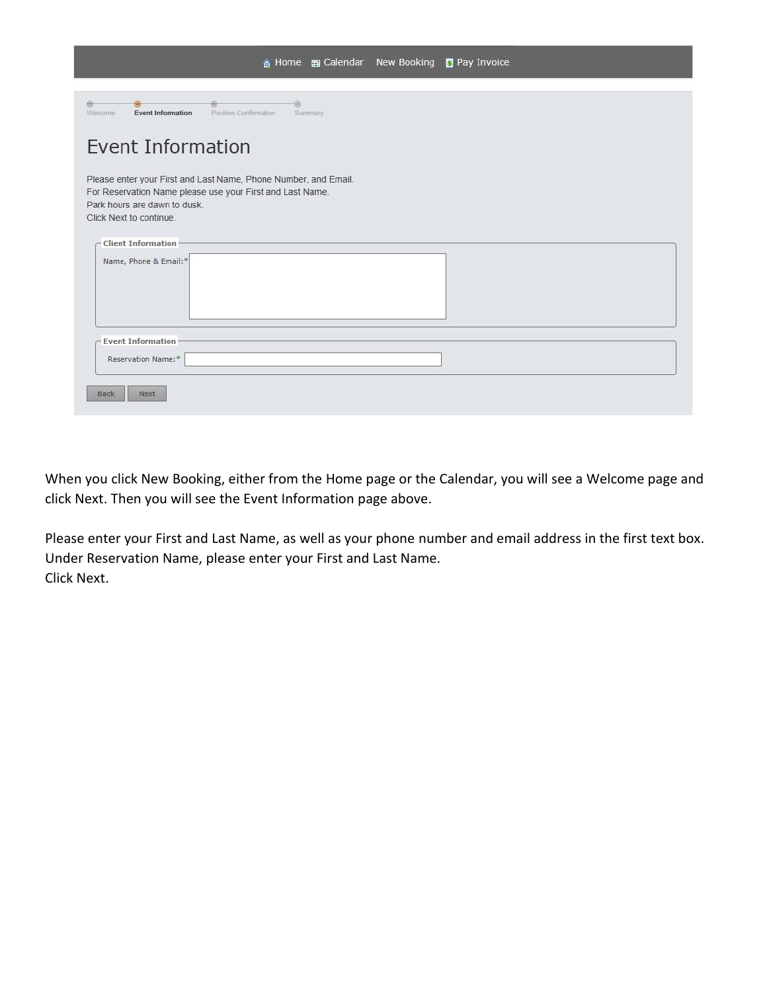| Home E Calendar New Booking S Pay Invoice                                                                                                                                                                            |
|----------------------------------------------------------------------------------------------------------------------------------------------------------------------------------------------------------------------|
| Welcome<br>Event Information<br>Pavilion Confirmation<br>Summary                                                                                                                                                     |
| <b>Event Information</b>                                                                                                                                                                                             |
| Please enter your First and Last Name, Phone Number, and Email.<br>For Reservation Name please use your First and Last Name.<br>Park hours are dawn to dusk<br>Click Next to continue.<br><b>Client Information-</b> |
| Name, Phone & Email:*                                                                                                                                                                                                |
| <b>Event Information</b><br>Reservation Name:*                                                                                                                                                                       |
| Back<br>Next                                                                                                                                                                                                         |

When you click New Booking, either from the Home page or the Calendar, you will see a Welcome page and click Next. Then you will see the Event Information page above.

Please enter your First and Last Name, as well as your phone number and email address in the first text box. Under Reservation Name, please enter your First and Last Name. Click Next.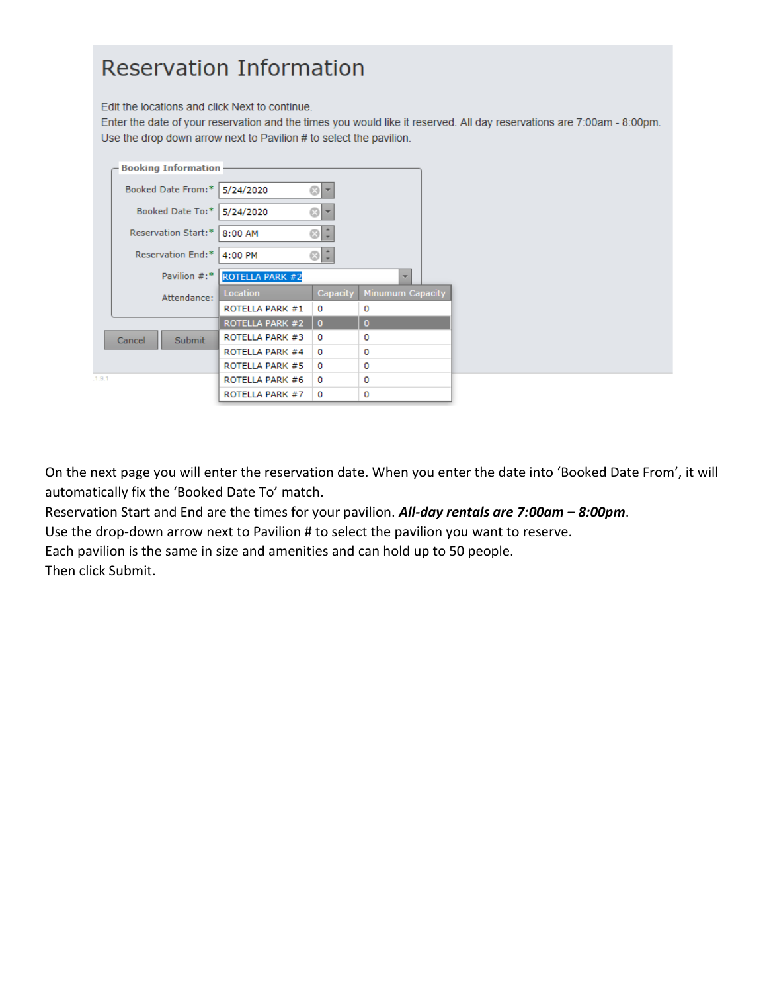## **Reservation Information**

Edit the locations and click Next to continue.

Enter the date of your reservation and the times you would like it reserved. All day reservations are 7:00am - 8:00pm. Use the drop down arrow next to Pavilion # to select the pavilion.

| <b>Booking Information</b>     |                        |              |                  |
|--------------------------------|------------------------|--------------|------------------|
| Booked Date From:*   5/24/2020 |                        | $\otimes$ -  |                  |
| Booked Date To:*               | 5/24/2020              | $\otimes$ -  |                  |
| Reservation Start:*            | 8:00 AM                | $\circ$ :    |                  |
| Reservation End:*              | 4:00 PM                | $\circ$ :    |                  |
| Pavilion #:*                   | <b>ROTELLA PARK #2</b> |              | ÷                |
| Attendance:                    | Location               | Capacity     | Minumum Capacity |
|                                | ROTELLA PARK #1        | 0            | 0                |
|                                | ROTELLA PARK #2        | $\mathbf{0}$ | $\mathbf{0}$     |
| <b>Submit</b><br>Cancel        | ROTELLA PARK #3        | 0            | 0                |
|                                | ROTELLA PARK #4        | 0            | 0                |
|                                | ROTELLA PARK #5        | 0            | 0                |
| .1.9.1                         | ROTELLA PARK #6        | 0            | 0                |
|                                | ROTELLA PARK #7        | 0            | 0                |

On the next page you will enter the reservation date. When you enter the date into 'Booked Date From', it will automatically fix the 'Booked Date To' match.

Reservation Start and End are the times for your pavilion. *All-day rentals are 7:00am – 8:00pm*.

Use the drop-down arrow next to Pavilion # to select the pavilion you want to reserve.

Each pavilion is the same in size and amenities and can hold up to 50 people.

Then click Submit.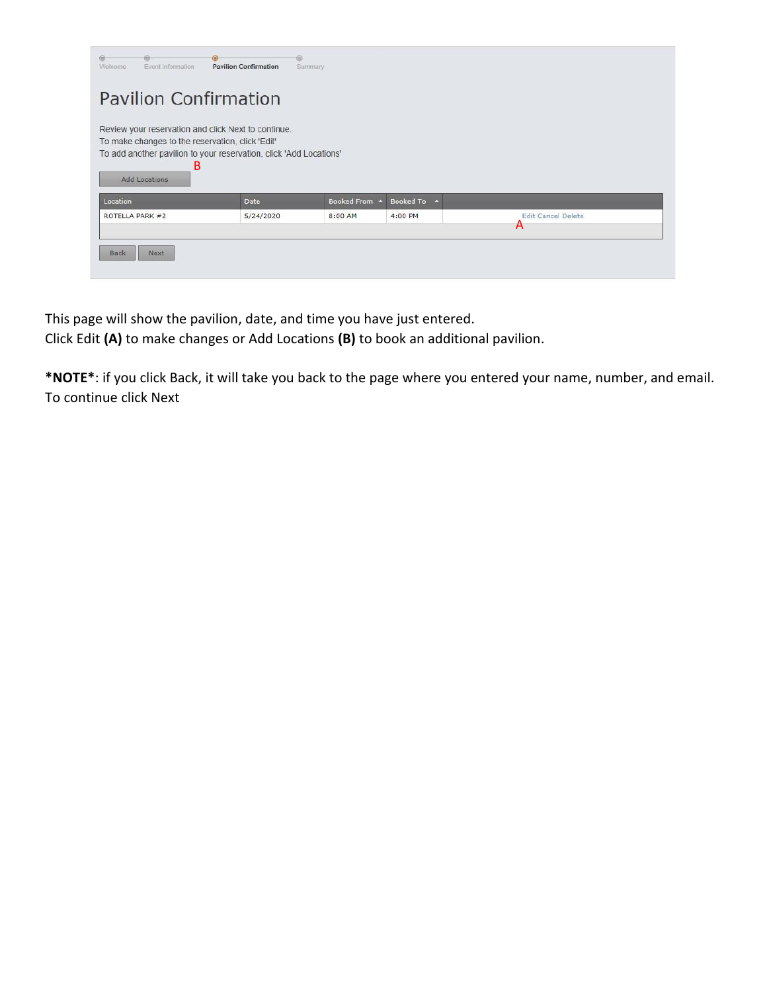| Welcome<br>Event Information                                                                                                         | ø<br><b>Pavilion Confirmation</b>                                  | Summary       |             |                    |
|--------------------------------------------------------------------------------------------------------------------------------------|--------------------------------------------------------------------|---------------|-------------|--------------------|
| <b>Pavilion Confirmation</b>                                                                                                         |                                                                    |               |             |                    |
| Review your reservation and click Next to continue.<br>To make changes to the reservation, click 'Edit'<br>в<br><b>Add Locations</b> | To add another pavilion to your reservation, click 'Add Locations' |               |             |                    |
| Location                                                                                                                             | <b>Date</b>                                                        | Booked From A | Booked To 4 |                    |
| ROTELLA PARK #2                                                                                                                      | 5/24/2020                                                          | 8:00 AM       | 4:00 PM     | Edit Cancel Delete |
|                                                                                                                                      |                                                                    |               |             | A                  |
| <b>Back</b><br>Next                                                                                                                  |                                                                    |               |             |                    |

This page will show the pavilion, date, and time you have just entered.

Click Edit **(A)** to make changes or Add Locations **(B)** to book an additional pavilion.

**\*NOTE\***: if you click Back, it will take you back to the page where you entered your name, number, and email. To continue click Next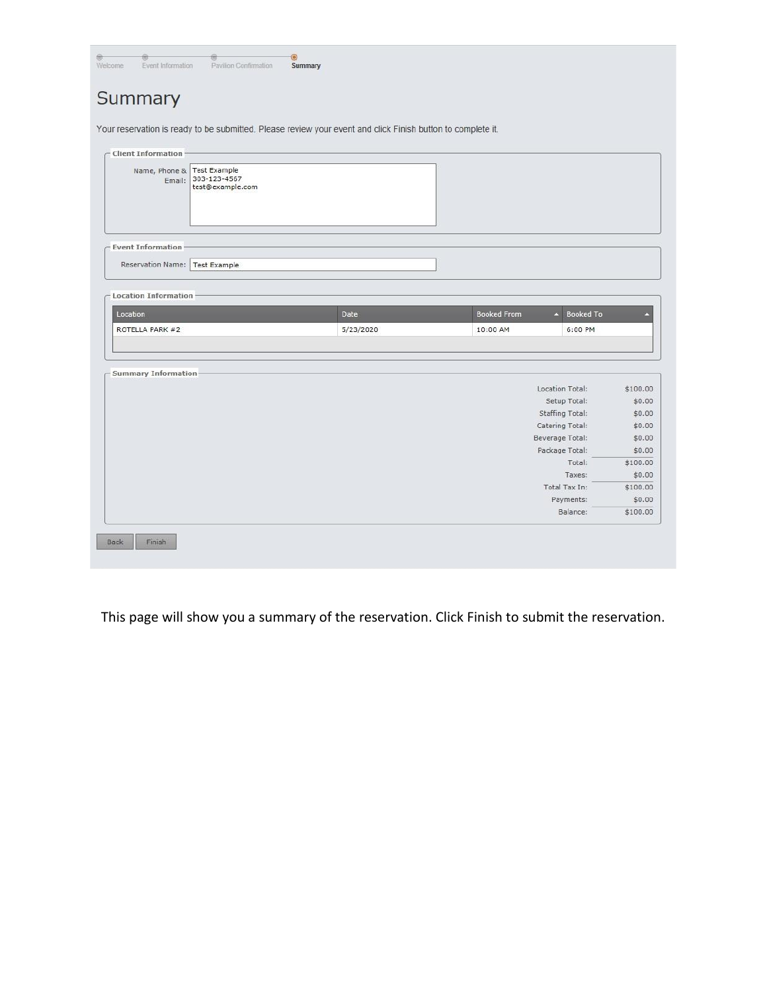| Welcome<br>Event Information                                              | Pavilion Confirmation                                                                                       | $\circledcirc$<br>Summary |             |                                   |                                                                                                        |
|---------------------------------------------------------------------------|-------------------------------------------------------------------------------------------------------------|---------------------------|-------------|-----------------------------------|--------------------------------------------------------------------------------------------------------|
| Summary                                                                   |                                                                                                             |                           |             |                                   |                                                                                                        |
|                                                                           | Your reservation is ready to be submitted. Please review your event and click Finish button to complete it. |                           |             |                                   |                                                                                                        |
|                                                                           |                                                                                                             |                           |             |                                   |                                                                                                        |
| <b>Client Information</b>                                                 |                                                                                                             |                           |             |                                   |                                                                                                        |
| Name, Phone &<br>Email:                                                   | <b>Test Example</b><br>303-123-4567<br>test@example.com                                                     |                           |             |                                   |                                                                                                        |
| <b>Event Information</b>                                                  |                                                                                                             |                           |             |                                   |                                                                                                        |
|                                                                           |                                                                                                             |                           |             |                                   |                                                                                                        |
| Reservation Name: Test Example<br><b>Location Information</b><br>Location |                                                                                                             | Date                      | Booked From | - Booked To                       |                                                                                                        |
| ROTELLA PARK #2                                                           |                                                                                                             | 5/23/2020                 | 10:00 AM    | 6:00 PM                           |                                                                                                        |
|                                                                           |                                                                                                             |                           |             |                                   |                                                                                                        |
| Summary Information-                                                      |                                                                                                             |                           |             | Location Total:                   |                                                                                                        |
|                                                                           |                                                                                                             |                           |             | Setup Total:                      |                                                                                                        |
|                                                                           |                                                                                                             |                           |             | Staffing Total:                   |                                                                                                        |
|                                                                           |                                                                                                             |                           |             | Catering Total:                   |                                                                                                        |
|                                                                           |                                                                                                             |                           |             | Beverage Total:<br>Package Total: |                                                                                                        |
|                                                                           |                                                                                                             |                           |             | Total:                            |                                                                                                        |
|                                                                           |                                                                                                             |                           |             | Taxes:                            |                                                                                                        |
|                                                                           |                                                                                                             |                           |             | Total Tax In:                     |                                                                                                        |
|                                                                           |                                                                                                             |                           |             | Payments:                         | \$100.00<br>\$0.00<br>\$0.00<br>\$0.00<br>\$0.00<br>\$0.00<br>\$100.00<br>\$0.00<br>\$100.00<br>\$0.00 |

This page will show you a summary of the reservation. Click Finish to submit the reservation.